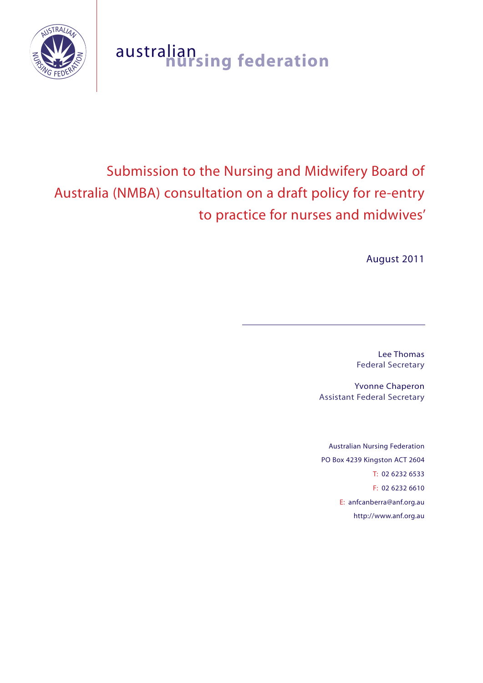



# Submission to the Nursing and Midwifery Board of Australia (NMBA) consultation on a draft policy for re-entry to practice for nurses and midwives'

August 2011

Lee Thomas Federal Secretary

Yvonne Chaperon Assistant Federal Secretary

Australian Nursing Federation PO Box 4239 Kingston ACT 2604 T: 02 6232 6533 F: 02 6232 6610 E: anfcanberra@anf.org.au http://www.anf.org.au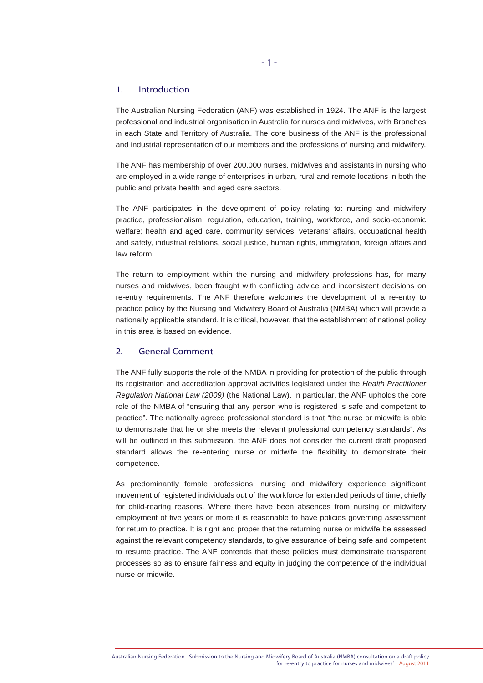## 1. Introduction

The Australian Nursing Federation (ANF) was established in 1924. The ANF is the largest professional and industrial organisation in Australia for nurses and midwives, with Branches in each State and Territory of Australia. The core business of the ANF is the professional and industrial representation of our members and the professions of nursing and midwifery.

The ANF has membership of over 200,000 nurses, midwives and assistants in nursing who are employed in a wide range of enterprises in urban, rural and remote locations in both the public and private health and aged care sectors.

The ANF participates in the development of policy relating to: nursing and midwifery practice, professionalism, regulation, education, training, workforce, and socio-economic welfare; health and aged care, community services, veterans' affairs, occupational health and safety, industrial relations, social justice, human rights, immigration, foreign affairs and law reform.

The return to employment within the nursing and midwifery professions has, for many nurses and midwives, been fraught with conflicting advice and inconsistent decisions on re-entry requirements. The ANF therefore welcomes the development of a re-entry to practice policy by the Nursing and Midwifery Board of Australia (NMBA) which will provide a nationally applicable standard. It is critical, however, that the establishment of national policy in this area is based on evidence.

# 2. General Comment

The ANF fully supports the role of the NMBA in providing for protection of the public through its registration and accreditation approval activities legislated under the *Health Practitioner Regulation National Law (2009)* (the National Law). In particular, the ANF upholds the core role of the NMBA of "ensuring that any person who is registered is safe and competent to practice". The nationally agreed professional standard is that "the nurse or midwife is able to demonstrate that he or she meets the relevant professional competency standards". As will be outlined in this submission, the ANF does not consider the current draft proposed standard allows the re-entering nurse or midwife the flexibility to demonstrate their competence.

As predominantly female professions, nursing and midwifery experience significant movement of registered individuals out of the workforce for extended periods of time, chiefly for child-rearing reasons. Where there have been absences from nursing or midwifery employment of five years or more it is reasonable to have policies governing assessment for return to practice. It is right and proper that the returning nurse or midwife be assessed against the relevant competency standards, to give assurance of being safe and competent to resume practice. The ANF contends that these policies must demonstrate transparent processes so as to ensure fairness and equity in judging the competence of the individual nurse or midwife.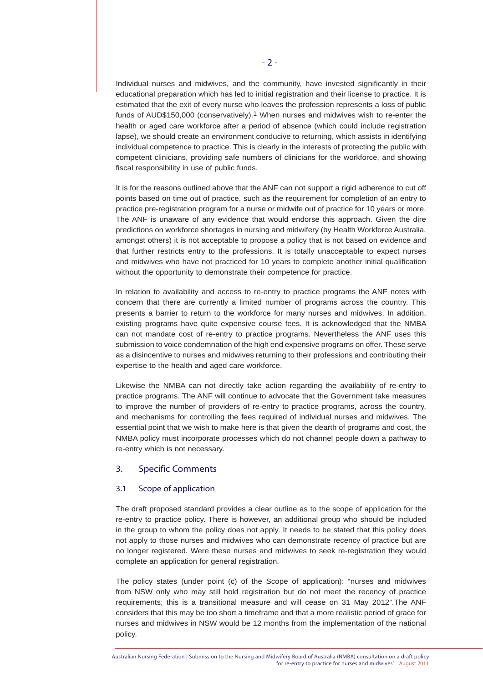Individual nurses and midwives, and the community, have invested significantly in their educational preparation which has led to initial registration and their license to practice. It is estimated that the exit of every nurse who leaves the profession represents a loss of public funds of AUD\$150,000 (conservatively).<sup>1</sup> When nurses and midwives wish to re-enter the health or aged care workforce after a period of absence (which could include registration lapse), we should create an environment conducive to returning, which assists in identifying individual competence to practice. This is clearly in the interests of protecting the public with competent clinicians, providing safe numbers of clinicians for the workforce, and showing fiscal responsibility in use of public funds.

It is for the reasons outlined above that the ANF can not support a rigid adherence to cut off points based on time out of practice, such as the requirement for completion of an entry to practice pre-registration program for a nurse or midwife out of practice for 10 years or more. The ANF is unaware of any evidence that would endorse this approach. Given the dire predictions on workforce shortages in nursing and midwifery (by Health Workforce Australia, amongst others) it is not acceptable to propose a policy that is not based on evidence and that further restricts entry to the professions. It is totally unacceptable to expect nurses and midwives who have not practiced for 10 years to complete another initial qualification without the opportunity to demonstrate their competence for practice.

In relation to availability and access to re-entry to practice programs the ANF notes with concern that there are currently a limited number of programs across the country. This presents a barrier to return to the workforce for many nurses and midwives. In addition, existing programs have quite expensive course fees. It is acknowledged that the NMBA can not mandate cost of re-entry to practice programs. Nevertheless the ANF uses this submission to voice condemnation of the high end expensive programs on offer. These serve as a disincentive to nurses and midwives returning to their professions and contributing their expertise to the health and aged care workforce.

Likewise the NMBA can not directly take action regarding the availability of re-entry to practice programs. The ANF will continue to advocate that the Government take measures to improve the number of providers of re-entry to practice programs, across the country, and mechanisms for controlling the fees required of individual nurses and midwives. The essential point that we wish to make here is that given the dearth of programs and cost, the NMBA policy must incorporate processes which do not channel people down a pathway to re-entry which is not necessary.

# 3. Specific Comments

### 3.1 Scope of application

The draft proposed standard provides a clear outline as to the scope of application for the re-entry to practice policy. There is however, an additional group who should be included in the group to whom the policy does not apply. It needs to be stated that this policy does not apply to those nurses and midwives who can demonstrate recency of practice but are no longer registered. Were these nurses and midwives to seek re-registration they would complete an application for general registration.

The policy states (under point (c) of the Scope of application): "nurses and midwives from NSW only who may still hold registration but do not meet the recency of practice requirements; this is a transitional measure and will cease on 31 May 2012".The ANF considers that this may be too short a timeframe and that a more realistic period of grace for nurses and midwives in NSW would be 12 months from the implementation of the national policy.

Australian Nursing Federation | Submission to the Nursing and Midwifery Board of Australia (NMBA) consultation on a draft policy for re-entry to practice for nurses and midwives' August 2011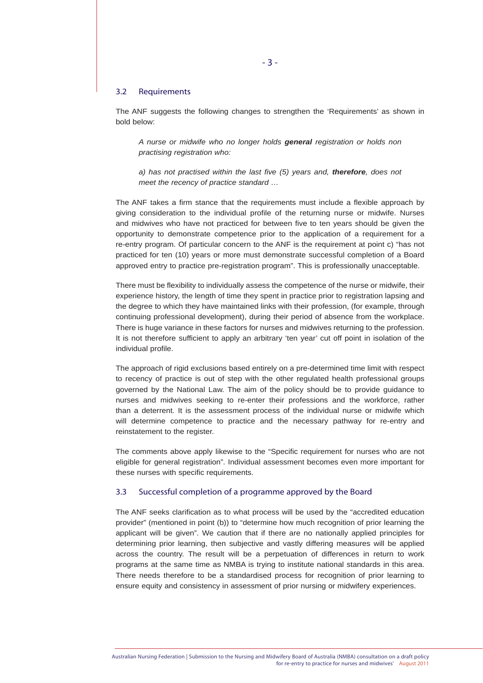#### 3.2 Requirements

The ANF suggests the following changes to strengthen the 'Requirements' as shown in bold below:

*A nurse or midwife who no longer holds general registration or holds non practising registration who:* 

*a) has not practised within the last five (5) years and, therefore, does not meet the recency of practice standard …* 

The ANF takes a firm stance that the requirements must include a flexible approach by giving consideration to the individual profile of the returning nurse or midwife. Nurses and midwives who have not practiced for between five to ten years should be given the opportunity to demonstrate competence prior to the application of a requirement for a re-entry program. Of particular concern to the ANF is the requirement at point c) "has not practiced for ten (10) years or more must demonstrate successful completion of a Board approved entry to practice pre-registration program". This is professionally unacceptable.

There must be flexibility to individually assess the competence of the nurse or midwife, their experience history, the length of time they spent in practice prior to registration lapsing and the degree to which they have maintained links with their profession, (for example, through continuing professional development), during their period of absence from the workplace. There is huge variance in these factors for nurses and midwives returning to the profession. It is not therefore sufficient to apply an arbitrary 'ten year' cut off point in isolation of the individual profile.

The approach of rigid exclusions based entirely on a pre-determined time limit with respect to recency of practice is out of step with the other regulated health professional groups governed by the National Law. The aim of the policy should be to provide guidance to nurses and midwives seeking to re-enter their professions and the workforce, rather than a deterrent. It is the assessment process of the individual nurse or midwife which will determine competence to practice and the necessary pathway for re-entry and reinstatement to the register.

The comments above apply likewise to the "Specific requirement for nurses who are not eligible for general registration". Individual assessment becomes even more important for these nurses with specific requirements.

## 3.3 Successful completion of a programme approved by the Board

The ANF seeks clarification as to what process will be used by the "accredited education provider" (mentioned in point (b)) to "determine how much recognition of prior learning the applicant will be given". We caution that if there are no nationally applied principles for determining prior learning, then subjective and vastly differing measures will be applied across the country. The result will be a perpetuation of differences in return to work programs at the same time as NMBA is trying to institute national standards in this area. There needs therefore to be a standardised process for recognition of prior learning to ensure equity and consistency in assessment of prior nursing or midwifery experiences.